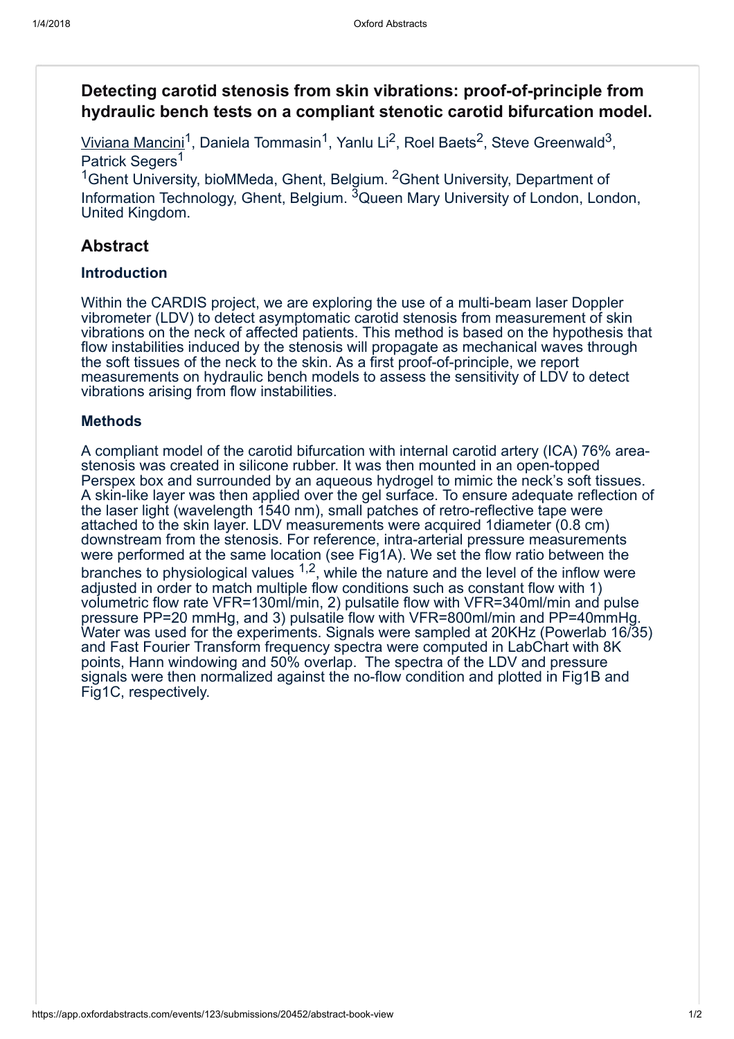# Detecting carotid stenosis from skin vibrations: proof-of-principle from hydraulic bench tests on a compliant stenotic carotid bifurcation model.

Viviana Mancini<sup>1</sup>, Daniela Tommasin<sup>1</sup>, Yanlu Li<sup>2</sup>, Roel Baets<sup>2</sup>, Steve Greenwald<sup>3</sup>, Patrick Segers<sup>1</sup>

<sup>1</sup>Ghent University, bioMMeda, Ghent, Belgium. <sup>2</sup>Ghent University, Department of Information Technology, Ghent, Belgium. <sup>3</sup>Queen Mary University of London, London, United Kingdom.

# Abstract

### Introduction

Within the CARDIS project, we are exploring the use of a multi-beam laser Doppler vibrometer (LDV) to detect asymptomatic carotid stenosis from measurement of skin vibrations on the neck of affected patients. This method is based on the hypothesis that flow instabilities induced by the stenosis will propagate as mechanical waves through the soft tissues of the neck to the skin. As a first proof-of-principle, we report measurements on hydraulic bench models to assess the sensitivity of LDV to detect vibrations arising from flow instabilities.

## **Methods**

A compliant model of the carotid bifurcation with internal carotid artery (ICA) 76% areastenosis was created in silicone rubber. It was then mounted in an open-topped Perspex box and surrounded by an aqueous hydrogel to mimic the neck's soft tissues. A skin-like layer was then applied over the gel surface. To ensure adequate reflection of the laser light (wavelength 1540 nm), small patches of retro-reflective tape were attached to the skin layer. LDV measurements were acquired 1diameter (0.8 cm) downstream from the stenosis. For reference, intra-arterial pressure measurements were performed at the same location (see Fig1A). We set the flow ratio between the branches to physiological values  $1,2$ , while the nature and the level of the inflow were adjusted in order to match multiple flow conditions such as constant flow with 1) volumetric flow rate VFR=130ml/min, 2) pulsatile flow with VFR=340ml/min and pulse pressure PP=20 mmHg, and 3) pulsatile flow with VFR=800ml/min and PP=40mmHg. Water was used for the experiments. Signals were sampled at 20KHz (Powerlab 16/35) and Fast Fourier Transform frequency spectra were computed in LabChart with 8K points, Hann windowing and 50% overlap. The spectra of the LDV and pressure signals were then normalized against the no-flow condition and plotted in Fig1B and Fig1C, respectively.